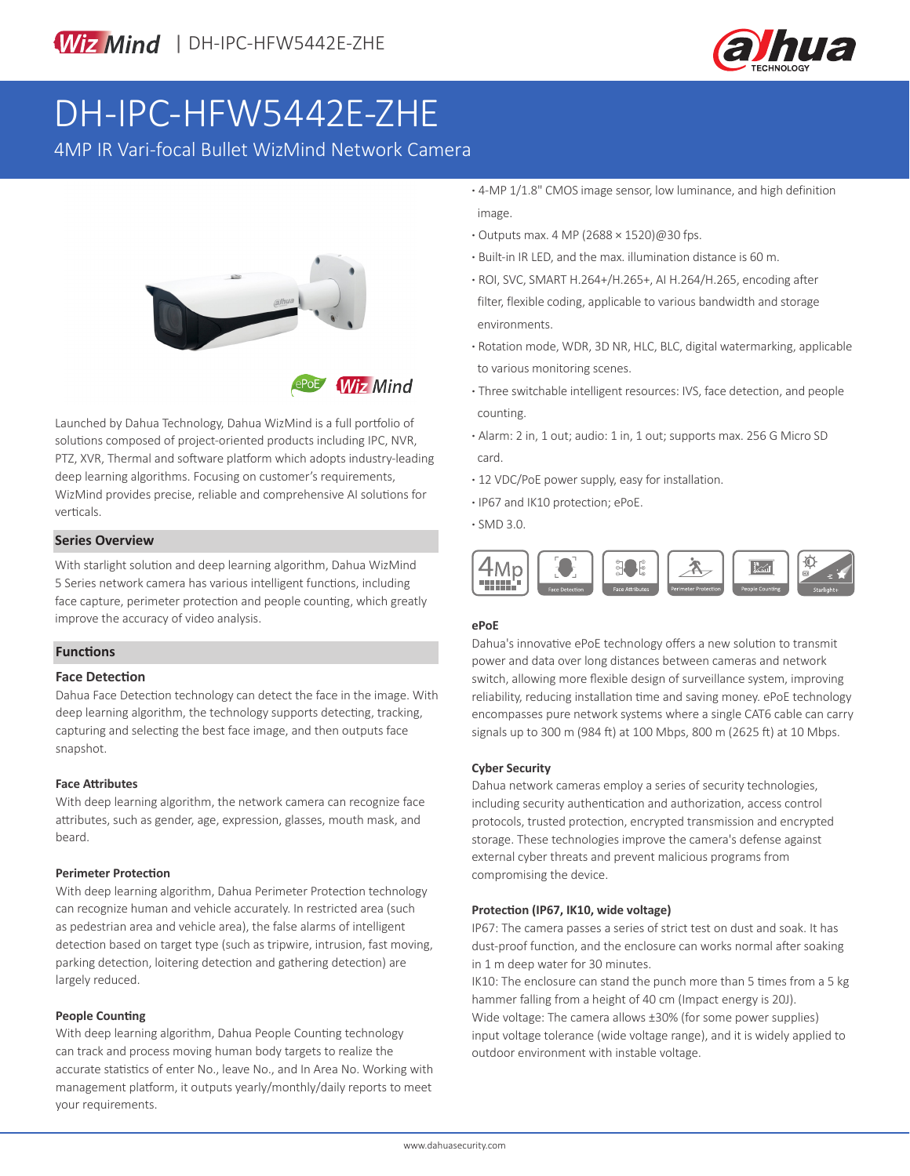

# DH-IPC-HFW5442E-ZHE

4MP IR Vari-focal Bullet WizMind Network Camera



**Wiz Mind** 

Launched by Dahua Technology, Dahua WizMind is a full portfolio of solutions composed of project-oriented products including IPC, NVR, PTZ, XVR, Thermal and software platform which adopts industry-leading deep learning algorithms. Focusing on customer's requirements, WizMind provides precise, reliable and comprehensive AI solutions for verticals.

### **Series Overview**

With starlight solution and deep learning algorithm, Dahua WizMind 5 Series network camera has various intelligent functions, including face capture, perimeter protection and people counting, which greatly improve the accuracy of video analysis.

### **Functions**

### **Face Detection**

Dahua Face Detection technology can detect the face in the image. With deep learning algorithm, the technology supports detecting, tracking, capturing and selecting the best face image, and then outputs face snapshot.

### **Face Attributes**

With deep learning algorithm, the network camera can recognize face attributes, such as gender, age, expression, glasses, mouth mask, and beard.

### **Perimeter Protection**

With deep learning algorithm, Dahua Perimeter Protection technology can recognize human and vehicle accurately. In restricted area (such as pedestrian area and vehicle area), the false alarms of intelligent detection based on target type (such as tripwire, intrusion, fast moving, parking detection, loitering detection and gathering detection) are largely reduced.

### **People Counting**

With deep learning algorithm, Dahua People Counting technology can track and process moving human body targets to realize the accurate statistics of enter No., leave No., and In Area No. Working with management platform, it outputs yearly/monthly/daily reports to meet your requirements.

- **·** 4-MP 1/1.8" CMOS image sensor, low luminance, and high definition image.
- **·** Outputs max. 4 MP (2688 × 1520)@30 fps.
- **·** Built-in IR LED, and the max. illumination distance is 60 m.
- **·** ROI, SVC, SMART H.264+/H.265+, AI H.264/H.265, encoding after filter, flexible coding, applicable to various bandwidth and storage environments.
- **·** Rotation mode, WDR, 3D NR, HLC, BLC, digital watermarking, applicable to various monitoring scenes.
- **·** Three switchable intelligent resources: IVS, face detection, and people counting.
- **·** Alarm: 2 in, 1 out; audio: 1 in, 1 out; supports max. 256 G Micro SD card.
- **·** 12 VDC/PoE power supply, easy for installation.
- **·** IP67 and IK10 protection; ePoE.
- **·** SMD 3.0.



### **ePoE**

Dahua's innovative ePoE technology offers a new solution to transmit power and data over long distances between cameras and network switch, allowing more flexible design of surveillance system, improving reliability, reducing installation time and saving money. ePoE technology encompasses pure network systems where a single CAT6 cable can carry signals up to 300 m (984 ft) at 100 Mbps, 800 m (2625 ft) at 10 Mbps.

### **Cyber Security**

Dahua network cameras employ a series of security technologies, including security authentication and authorization, access control protocols, trusted protection, encrypted transmission and encrypted storage. These technologies improve the camera's defense against external cyber threats and prevent malicious programs from compromising the device.

### **Protection (IP67, IK10, wide voltage)**

IP67: The camera passes a series of strict test on dust and soak. It has dust-proof function, and the enclosure can works normal after soaking in 1 m deep water for 30 minutes.

IK10: The enclosure can stand the punch more than 5 times from a 5 kg hammer falling from a height of 40 cm (Impact energy is 20J). Wide voltage: The camera allows ±30% (for some power supplies) input voltage tolerance (wide voltage range), and it is widely applied to outdoor environment with instable voltage.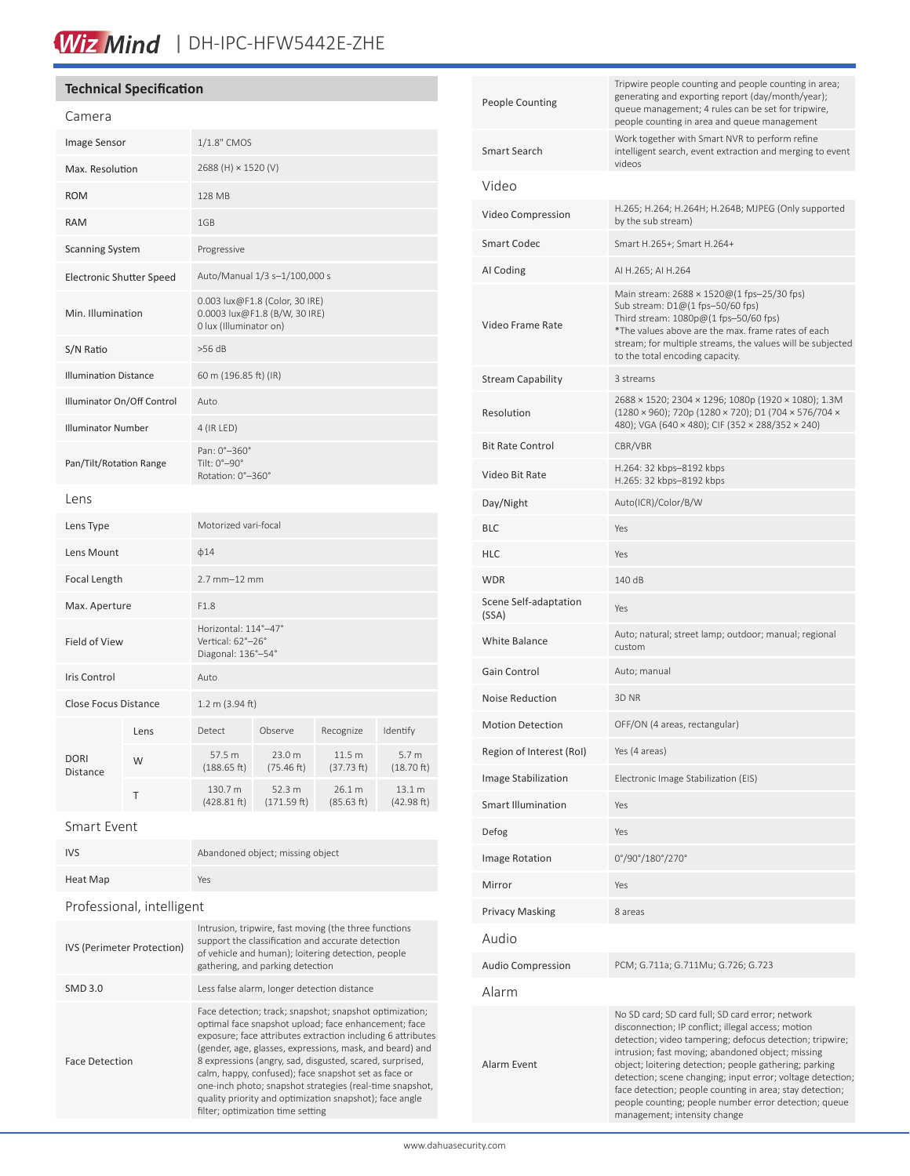## Wiz Mind | DH-IPC-HFW5442E-ZHE

### **Technical Specification**

| Camera                          |      |                                                                                           |                       |                      |                                 |
|---------------------------------|------|-------------------------------------------------------------------------------------------|-----------------------|----------------------|---------------------------------|
| Image Sensor                    |      | 1/1.8" CMOS                                                                               |                       |                      |                                 |
| Max. Resolution                 |      | 2688 (H) × 1520 (V)                                                                       |                       |                      |                                 |
| <b>ROM</b>                      |      | <b>128 MB</b>                                                                             |                       |                      |                                 |
| <b>RAM</b>                      |      | 1GB                                                                                       |                       |                      |                                 |
| <b>Scanning System</b>          |      | Progressive                                                                               |                       |                      |                                 |
| <b>Electronic Shutter Speed</b> |      | Auto/Manual 1/3 s-1/100,000 s                                                             |                       |                      |                                 |
| Min. Illumination               |      | 0.003 lux@F1.8 (Color, 30 IRE)<br>0.0003 lux@F1.8 (B/W, 30 IRE)<br>0 lux (Illuminator on) |                       |                      |                                 |
| S/N Ratio                       |      | $>56$ dB                                                                                  |                       |                      |                                 |
| <b>Illumination Distance</b>    |      | 60 m (196.85 ft) (IR)                                                                     |                       |                      |                                 |
| Illuminator On/Off Control      |      | Auto                                                                                      |                       |                      |                                 |
| <b>Illuminator Number</b>       |      | 4 (IR LED)                                                                                |                       |                      |                                 |
| Pan/Tilt/Rotation Range         |      | Pan: 0°-360°<br>Tilt: $0^\circ - 90^\circ$<br>Rotation: 0°-360°                           |                       |                      |                                 |
| Lens                            |      |                                                                                           |                       |                      |                                 |
| Lens Type                       |      | Motorized vari-focal                                                                      |                       |                      |                                 |
| Lens Mount                      |      | $\phi$ 14                                                                                 |                       |                      |                                 |
| Focal Length                    |      | $2.7$ mm $-12$ mm                                                                         |                       |                      |                                 |
| Max. Aperture                   |      | F1.8                                                                                      |                       |                      |                                 |
| Field of View                   |      | Horizontal: 114°-47°<br>Vertical: 62°-26°<br>Diagonal: 136°-54°                           |                       |                      |                                 |
| <b>Iris Control</b>             |      | Auto                                                                                      |                       |                      |                                 |
| <b>Close Focus Distance</b>     |      | 1.2 m (3.94 ft)                                                                           |                       |                      |                                 |
| <b>DORI</b><br><b>Distance</b>  | Lens | Detect                                                                                    | Observe               | Recognize            | Identify                        |
|                                 | W    | 57.5 m<br>(188.65 ft)                                                                     | 23.0 m<br>(75.46 ft)  | 11.5 m<br>(37.73 ft) | 5.7 <sub>m</sub><br>(18.70 ft)  |
|                                 | Τ    | 130.7 m<br>(428.81 ft)                                                                    | 52.3 m<br>(171.59 ft) | 26.1 m<br>(85.63 ft) | 13.1 <sub>m</sub><br>(42.98 ft) |
|                                 |      |                                                                                           |                       |                      |                                 |

#### Smart Event

| <b>IVS</b>                 | Abandoned object; missing object                                                                                                                                                                     |  |  |  |
|----------------------------|------------------------------------------------------------------------------------------------------------------------------------------------------------------------------------------------------|--|--|--|
| Heat Map                   | Yes                                                                                                                                                                                                  |  |  |  |
| Professional, intelligent  |                                                                                                                                                                                                      |  |  |  |
| IVS (Perimeter Protection) | Intrusion, tripwire, fast moving (the three functions<br>support the classification and accurate detection<br>of vehicle and human); loitering detection, people<br>gathering, and parking detection |  |  |  |
| SMD 3.0                    | Less false alarm, longer detection distance                                                                                                                                                          |  |  |  |

Face Detection Face detection; track; snapshot; snapshot optimization; optimal face snapshot upload; face enhancement; face exposure; face attributes extraction including 6 attributes (gender, age, glasses, expressions, mask, and beard) and 8 expressions (angry, sad, disgusted, scared, surprised, calm, happy, confused); face snapshot set as face or one-inch photo; snapshot strategies (real-time snapshot, quality priority and optimization snapshot); face angle filter; optimization time setting

| <b>People Counting</b>         | Tripwire people counting and people counting in area;<br>generating and exporting report (day/month/year);<br>queue management; 4 rules can be set for tripwire,<br>people counting in area and queue management                                                                                                                                                                                                                                                                                     |  |  |
|--------------------------------|------------------------------------------------------------------------------------------------------------------------------------------------------------------------------------------------------------------------------------------------------------------------------------------------------------------------------------------------------------------------------------------------------------------------------------------------------------------------------------------------------|--|--|
| Smart Search                   | Work together with Smart NVR to perform refine<br>intelligent search, event extraction and merging to event<br>videos                                                                                                                                                                                                                                                                                                                                                                                |  |  |
| Video                          |                                                                                                                                                                                                                                                                                                                                                                                                                                                                                                      |  |  |
| Video Compression              | H.265; H.264; H.264H; H.264B; MJPEG (Only supported<br>by the sub stream)                                                                                                                                                                                                                                                                                                                                                                                                                            |  |  |
| <b>Smart Codec</b>             | Smart H.265+; Smart H.264+                                                                                                                                                                                                                                                                                                                                                                                                                                                                           |  |  |
| AI Coding                      | AI H.265; AI H.264                                                                                                                                                                                                                                                                                                                                                                                                                                                                                   |  |  |
| Video Frame Rate               | Main stream: 2688 × 1520@(1 fps-25/30 fps)<br>Sub stream: $D1@(1$ fps-50/60 fps)<br>Third stream: 1080p@(1 fps-50/60 fps)<br>*The values above are the max. frame rates of each<br>stream; for multiple streams, the values will be subjected<br>to the total encoding capacity.                                                                                                                                                                                                                     |  |  |
| Stream Capability              | 3 streams                                                                                                                                                                                                                                                                                                                                                                                                                                                                                            |  |  |
| Resolution                     | 2688 × 1520; 2304 × 1296; 1080p (1920 × 1080); 1.3M<br>(1280 × 960); 720p (1280 × 720); D1 (704 × 576/704 ×<br>480); VGA (640 × 480); CIF (352 × 288/352 × 240)                                                                                                                                                                                                                                                                                                                                      |  |  |
| <b>Bit Rate Control</b>        | CBR/VBR                                                                                                                                                                                                                                                                                                                                                                                                                                                                                              |  |  |
| Video Bit Rate                 | H.264: 32 kbps-8192 kbps<br>H.265: 32 kbps-8192 kbps                                                                                                                                                                                                                                                                                                                                                                                                                                                 |  |  |
| Day/Night                      | Auto(ICR)/Color/B/W                                                                                                                                                                                                                                                                                                                                                                                                                                                                                  |  |  |
| BLC                            | Yes                                                                                                                                                                                                                                                                                                                                                                                                                                                                                                  |  |  |
| HLC                            | Yes                                                                                                                                                                                                                                                                                                                                                                                                                                                                                                  |  |  |
| WDR                            | 140 dB                                                                                                                                                                                                                                                                                                                                                                                                                                                                                               |  |  |
| Scene Self-adaptation<br>(SSA) | Yes                                                                                                                                                                                                                                                                                                                                                                                                                                                                                                  |  |  |
| White Balance                  | Auto; natural; street lamp; outdoor; manual; regional<br>custom                                                                                                                                                                                                                                                                                                                                                                                                                                      |  |  |
| Gain Control                   | Auto; manual                                                                                                                                                                                                                                                                                                                                                                                                                                                                                         |  |  |
| Noise Reduction                | 3D NR                                                                                                                                                                                                                                                                                                                                                                                                                                                                                                |  |  |
| <b>Motion Detection</b>        | OFF/ON (4 areas, rectangular)                                                                                                                                                                                                                                                                                                                                                                                                                                                                        |  |  |
| Region of Interest (RoI)       | Yes (4 areas)                                                                                                                                                                                                                                                                                                                                                                                                                                                                                        |  |  |
| Image Stabilization            | Electronic Image Stabilization (EIS)                                                                                                                                                                                                                                                                                                                                                                                                                                                                 |  |  |
| Smart Illumination             | Yes                                                                                                                                                                                                                                                                                                                                                                                                                                                                                                  |  |  |
| Defog                          | Yes                                                                                                                                                                                                                                                                                                                                                                                                                                                                                                  |  |  |
| <b>Image Rotation</b>          | 0°/90°/180°/270°                                                                                                                                                                                                                                                                                                                                                                                                                                                                                     |  |  |
| Mirror                         | Yes                                                                                                                                                                                                                                                                                                                                                                                                                                                                                                  |  |  |
| <b>Privacy Masking</b>         | 8 areas                                                                                                                                                                                                                                                                                                                                                                                                                                                                                              |  |  |
| Audio                          |                                                                                                                                                                                                                                                                                                                                                                                                                                                                                                      |  |  |
| Audio Compression              | PCM; G.711a; G.711Mu; G.726; G.723                                                                                                                                                                                                                                                                                                                                                                                                                                                                   |  |  |
| Alarm                          |                                                                                                                                                                                                                                                                                                                                                                                                                                                                                                      |  |  |
| Alarm Event                    | No SD card; SD card full; SD card error; network<br>disconnection; IP conflict; illegal access; motion<br>detection; video tampering; defocus detection; tripwire;<br>intrusion; fast moving; abandoned object; missing<br>object; loitering detection; people gathering; parking<br>detection; scene changing; input error; voltage detection;<br>face detection; people counting in area; stay detection;<br>people counting; people number error detection; queue<br>management; intensity change |  |  |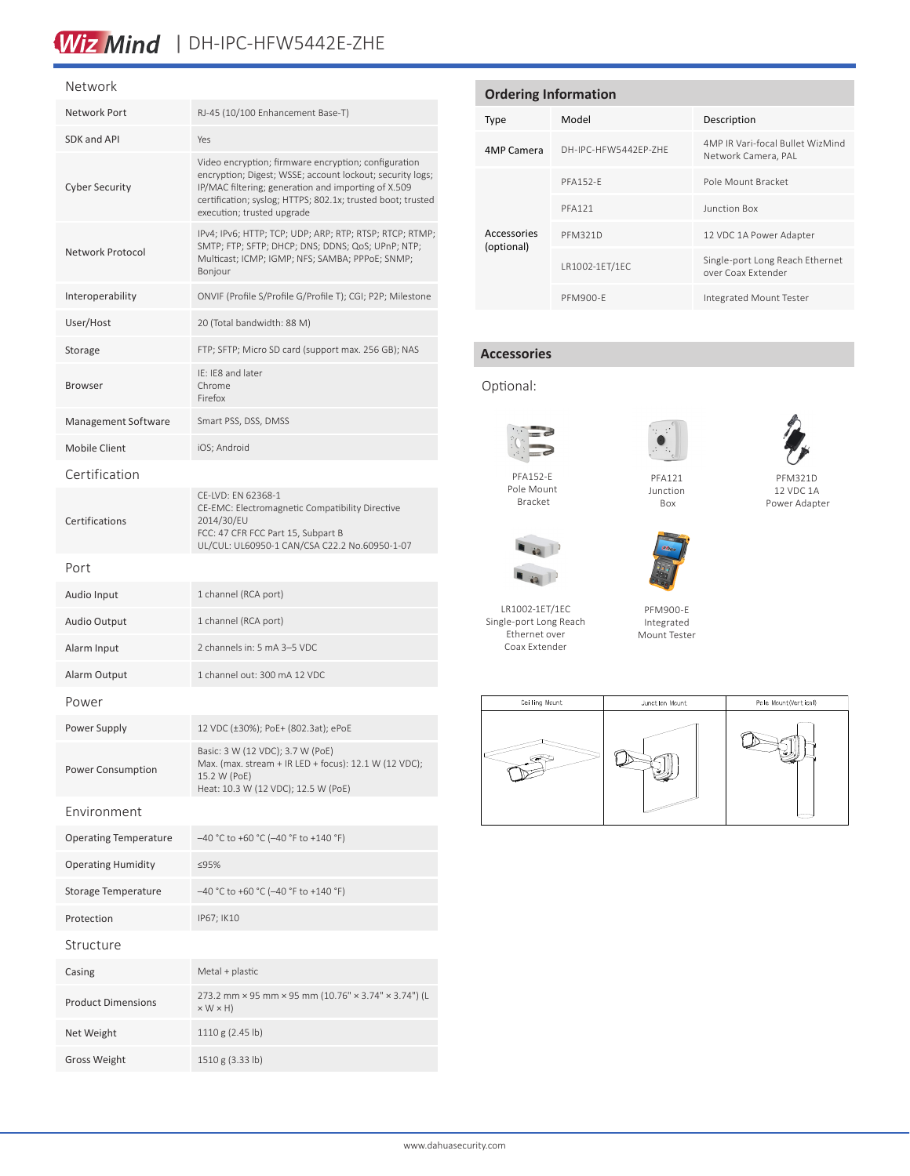### Wiz Mind | DH-IPC-HFW5442E-ZHE

#### Network

| Network Port                 | RJ-45 (10/100 Enhancement Base-T)                                                                                                                                                                                                                                     |  |  |
|------------------------------|-----------------------------------------------------------------------------------------------------------------------------------------------------------------------------------------------------------------------------------------------------------------------|--|--|
| SDK and API                  | Yes                                                                                                                                                                                                                                                                   |  |  |
| <b>Cyber Security</b>        | Video encryption; firmware encryption; configuration<br>encryption; Digest; WSSE; account lockout; security logs;<br>IP/MAC filtering; generation and importing of X.509<br>certification; syslog; HTTPS; 802.1x; trusted boot; trusted<br>execution; trusted upgrade |  |  |
| Network Protocol             | IPv4; IPv6; HTTP; TCP; UDP; ARP; RTP; RTSP; RTCP; RTMP;<br>SMTP; FTP; SFTP; DHCP; DNS; DDNS; QoS; UPnP; NTP;<br>Multicast; ICMP; IGMP; NFS; SAMBA; PPPoE; SNMP;<br>Bonjour                                                                                            |  |  |
| Interoperability             | ONVIF (Profile S/Profile G/Profile T); CGI; P2P; Milestone                                                                                                                                                                                                            |  |  |
| User/Host                    | 20 (Total bandwidth: 88 M)                                                                                                                                                                                                                                            |  |  |
| Storage                      | FTP; SFTP; Micro SD card (support max. 256 GB); NAS                                                                                                                                                                                                                   |  |  |
| <b>Browser</b>               | IE: IE8 and later<br>Chrome<br>Firefox                                                                                                                                                                                                                                |  |  |
| Management Software          | Smart PSS, DSS, DMSS                                                                                                                                                                                                                                                  |  |  |
| Mobile Client                | iOS; Android                                                                                                                                                                                                                                                          |  |  |
| Certification                |                                                                                                                                                                                                                                                                       |  |  |
| Certifications               | CE-LVD: EN 62368-1<br>CE-EMC: Electromagnetic Compatibility Directive<br>2014/30/EU<br>FCC: 47 CFR FCC Part 15, Subpart B<br>UL/CUL: UL60950-1 CAN/CSA C22.2 No.60950-1-07                                                                                            |  |  |
| Port                         |                                                                                                                                                                                                                                                                       |  |  |
| Audio Input                  | 1 channel (RCA port)                                                                                                                                                                                                                                                  |  |  |
| <b>Audio Output</b>          | 1 channel (RCA port)                                                                                                                                                                                                                                                  |  |  |
| Alarm Input                  | 2 channels in: 5 mA 3-5 VDC                                                                                                                                                                                                                                           |  |  |
| Alarm Output                 | 1 channel out: 300 mA 12 VDC                                                                                                                                                                                                                                          |  |  |
| Power                        |                                                                                                                                                                                                                                                                       |  |  |
| Power Supply                 | 12 VDC (±30%); PoE+ (802.3at); ePoE                                                                                                                                                                                                                                   |  |  |
| Power Consumption            | Basic: 3 W (12 VDC); 3.7 W (PoE)<br>Max. (max. stream + IR LED + focus): 12.1 W (12 VDC);<br>15.2 W (PoE)<br>Heat: 10.3 W (12 VDC); 12.5 W (PoE)                                                                                                                      |  |  |
| Environment                  |                                                                                                                                                                                                                                                                       |  |  |
| <b>Operating Temperature</b> | -40 °C to +60 °C (-40 °F to +140 °F)                                                                                                                                                                                                                                  |  |  |
| <b>Operating Humidity</b>    | ≤95%                                                                                                                                                                                                                                                                  |  |  |
| Storage Temperature          | $-40$ °C to +60 °C (-40 °F to +140 °F)                                                                                                                                                                                                                                |  |  |
| Protection                   | IP67; IK10                                                                                                                                                                                                                                                            |  |  |
| Structure                    |                                                                                                                                                                                                                                                                       |  |  |
| Casing                       | Metal + plastic                                                                                                                                                                                                                                                       |  |  |
| <b>Product Dimensions</b>    | 273.2 mm × 95 mm × 95 mm (10.76" × 3.74" × 3.74") (L<br>$\times$ W $\times$ H)                                                                                                                                                                                        |  |  |
| Net Weight                   | 1110 g (2.45 lb)                                                                                                                                                                                                                                                      |  |  |
| <b>Gross Weight</b>          | 1510 g (3.33 lb)                                                                                                                                                                                                                                                      |  |  |

| <b>Ordering Information</b> |                      |                                                         |  |  |  |
|-----------------------------|----------------------|---------------------------------------------------------|--|--|--|
| <b>Type</b>                 | Model                | Description                                             |  |  |  |
| 4MP Camera                  | DH-IPC-HFW5442FP-7HF | 4MP IR Vari-focal Bullet WizMind<br>Network Camera, PAL |  |  |  |
|                             | <b>PFA152-F</b>      | Pole Mount Bracket                                      |  |  |  |
|                             | <b>PFA121</b>        | Junction Box                                            |  |  |  |
| Accessories<br>(optional)   | <b>PFM321D</b>       | 12 VDC 1A Power Adapter                                 |  |  |  |
|                             | LR1002-1ET/1EC       | Single-port Long Reach Ethernet<br>over Coax Extender   |  |  |  |
|                             | PFM900-F             | Integrated Mount Tester                                 |  |  |  |

### **Accessories**

### Optional:



Pole Mount Bracket



PFA121 Junction Box



#### PFM321D 12 VDC 1A Power Adapter



LR1002-1ET/1EC Single-port Long Reach Ethernet over Coax Extender